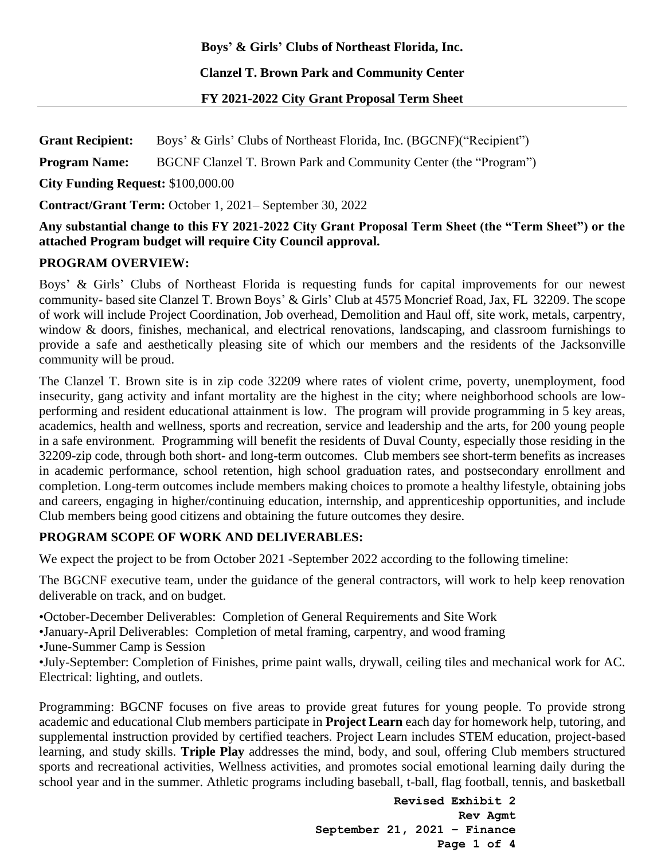**Boys' & Girls' Clubs of Northeast Florida, Inc.**

**Clanzel T. Brown Park and Community Center** 

**FY 2021-2022 City Grant Proposal Term Sheet** 

**Grant Recipient:** Boys' & Girls' Clubs of Northeast Florida, Inc. (BGCNF)("Recipient") **Program Name:** BGCNF Clanzel T. Brown Park and Community Center (the "Program") **City Funding Request:** \$100,000.00 **Contract/Grant Term:** October 1, 2021– September 30, 2022

## **Any substantial change to this FY 2021-2022 City Grant Proposal Term Sheet (the "Term Sheet") or the attached Program budget will require City Council approval.**

# **PROGRAM OVERVIEW:**

Boys' & Girls' Clubs of Northeast Florida is requesting funds for capital improvements for our newest community- based site Clanzel T. Brown Boys' & Girls' Club at 4575 Moncrief Road, Jax, FL 32209. The scope of work will include Project Coordination, Job overhead, Demolition and Haul off, site work, metals, carpentry, window & doors, finishes, mechanical, and electrical renovations, landscaping, and classroom furnishings to provide a safe and aesthetically pleasing site of which our members and the residents of the Jacksonville community will be proud.

The Clanzel T. Brown site is in zip code 32209 where rates of violent crime, poverty, unemployment, food insecurity, gang activity and infant mortality are the highest in the city; where neighborhood schools are lowperforming and resident educational attainment is low. The program will provide programming in 5 key areas, academics, health and wellness, sports and recreation, service and leadership and the arts, for 200 young people in a safe environment. Programming will benefit the residents of Duval County, especially those residing in the 32209-zip code, through both short- and long-term outcomes. Club members see short-term benefits as increases in academic performance, school retention, high school graduation rates, and postsecondary enrollment and completion. Long-term outcomes include members making choices to promote a healthy lifestyle, obtaining jobs and careers, engaging in higher/continuing education, internship, and apprenticeship opportunities, and include Club members being good citizens and obtaining the future outcomes they desire.

# **PROGRAM SCOPE OF WORK AND DELIVERABLES:**

We expect the project to be from October 2021 -September 2022 according to the following timeline:

The BGCNF executive team, under the guidance of the general contractors, will work to help keep renovation deliverable on track, and on budget.

•October-December Deliverables: Completion of General Requirements and Site Work

•January-April Deliverables: Completion of metal framing, carpentry, and wood framing

•June-Summer Camp is Session

•July-September: Completion of Finishes, prime paint walls, drywall, ceiling tiles and mechanical work for AC. Electrical: lighting, and outlets.

Programming: BGCNF focuses on five areas to provide great futures for young people. To provide strong academic and educational Club members participate in **Project Learn** each day for homework help, tutoring, and supplemental instruction provided by certified teachers. Project Learn includes STEM education, project-based learning, and study skills. **Triple Play** addresses the mind, body, and soul, offering Club members structured sports and recreational activities, Wellness activities, and promotes social emotional learning daily during the school year and in the summer. Athletic programs including baseball, t-ball, flag football, tennis, and basketball

> **Revised Exhibit 2 Rev Agmt September 21, 2021 – Finance Page 1 of 4**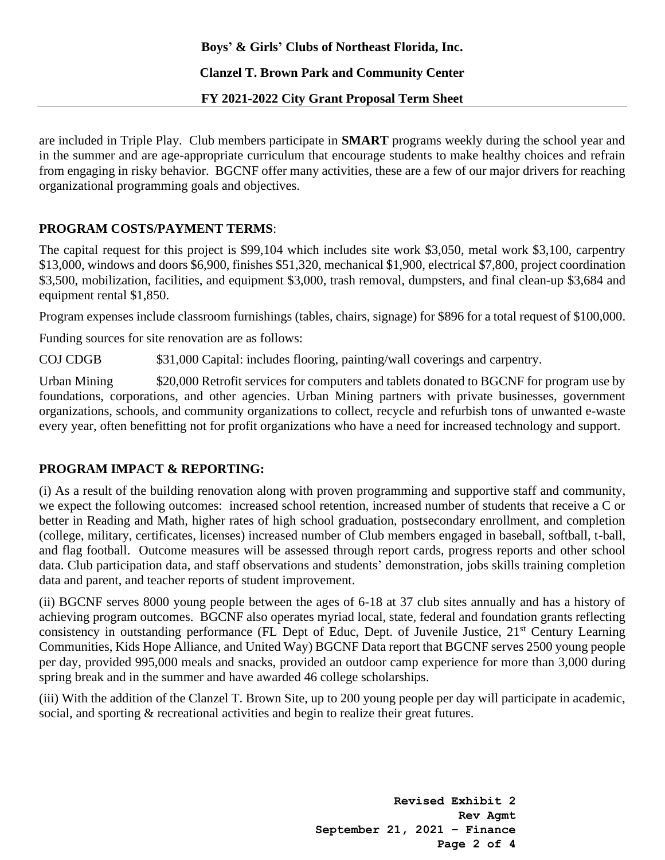## **Boys' & Girls' Clubs of Northeast Florida, Inc.**

### **Clanzel T. Brown Park and Community Center**

### **FY 2021-2022 City Grant Proposal Term Sheet**

are included in Triple Play. Club members participate in **SMART** programs weekly during the school year and in the summer and are age-appropriate curriculum that encourage students to make healthy choices and refrain from engaging in risky behavior. BGCNF offer many activities, these are a few of our major drivers for reaching organizational programming goals and objectives.

## **PROGRAM COSTS/PAYMENT TERMS**:

The capital request for this project is \$99,104 which includes site work \$3,050, metal work \$3,100, carpentry \$13,000, windows and doors \$6,900, finishes \$51,320, mechanical \$1,900, electrical \$7,800, project coordination \$3,500, mobilization, facilities, and equipment \$3,000, trash removal, dumpsters, and final clean-up \$3,684 and equipment rental \$1,850.

Program expenses include classroom furnishings (tables, chairs, signage) for \$896 for a total request of \$100,000.

Funding sources for site renovation are as follows:

COJ CDGB \$31,000 Capital: includes flooring, painting/wall coverings and carpentry.

Urban Mining  $\qquad$  \$20,000 Retrofit services for computers and tablets donated to BGCNF for program use by foundations, corporations, and other agencies. Urban Mining partners with private businesses, government organizations, schools, and community organizations to collect, recycle and refurbish tons of unwanted e-waste every year, often benefitting not for profit organizations who have a need for increased technology and support.

# **PROGRAM IMPACT & REPORTING:**

(i) As a result of the building renovation along with proven programming and supportive staff and community, we expect the following outcomes: increased school retention, increased number of students that receive a C or better in Reading and Math, higher rates of high school graduation, postsecondary enrollment, and completion (college, military, certificates, licenses) increased number of Club members engaged in baseball, softball, t-ball, and flag football. Outcome measures will be assessed through report cards, progress reports and other school data. Club participation data, and staff observations and students' demonstration, jobs skills training completion data and parent, and teacher reports of student improvement.

(ii) BGCNF serves 8000 young people between the ages of 6-18 at 37 club sites annually and has a history of achieving program outcomes. BGCNF also operates myriad local, state, federal and foundation grants reflecting consistency in outstanding performance (FL Dept of Educ, Dept. of Juvenile Justice, 21st Century Learning Communities, Kids Hope Alliance, and United Way) BGCNF Data report that BGCNF serves 2500 young people per day, provided 995,000 meals and snacks, provided an outdoor camp experience for more than 3,000 during spring break and in the summer and have awarded 46 college scholarships.

(iii) With the addition of the Clanzel T. Brown Site, up to 200 young people per day will participate in academic, social, and sporting & recreational activities and begin to realize their great futures.

> **Revised Exhibit 2 Rev Agmt September 21, 2021 – Finance Page 2 of 4**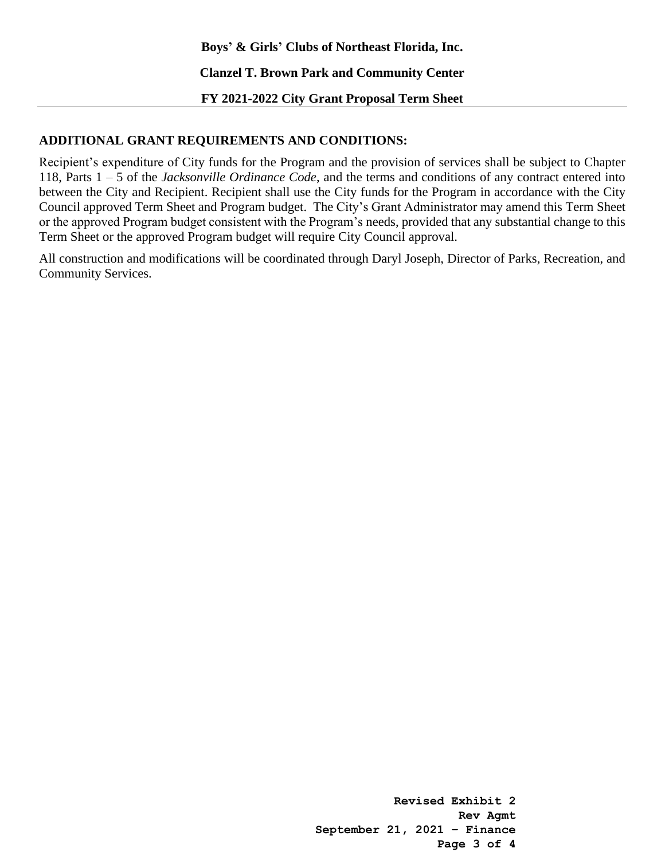**Boys' & Girls' Clubs of Northeast Florida, Inc.**

**Clanzel T. Brown Park and Community Center** 

**FY 2021-2022 City Grant Proposal Term Sheet** 

## **ADDITIONAL GRANT REQUIREMENTS AND CONDITIONS:**

Recipient's expenditure of City funds for the Program and the provision of services shall be subject to Chapter 118, Parts 1 – 5 of the *Jacksonville Ordinance Code*, and the terms and conditions of any contract entered into between the City and Recipient. Recipient shall use the City funds for the Program in accordance with the City Council approved Term Sheet and Program budget. The City's Grant Administrator may amend this Term Sheet or the approved Program budget consistent with the Program's needs, provided that any substantial change to this Term Sheet or the approved Program budget will require City Council approval.

All construction and modifications will be coordinated through Daryl Joseph, Director of Parks, Recreation, and Community Services.

> **Revised Exhibit 2 Rev Agmt September 21, 2021 – Finance Page 3 of 4**